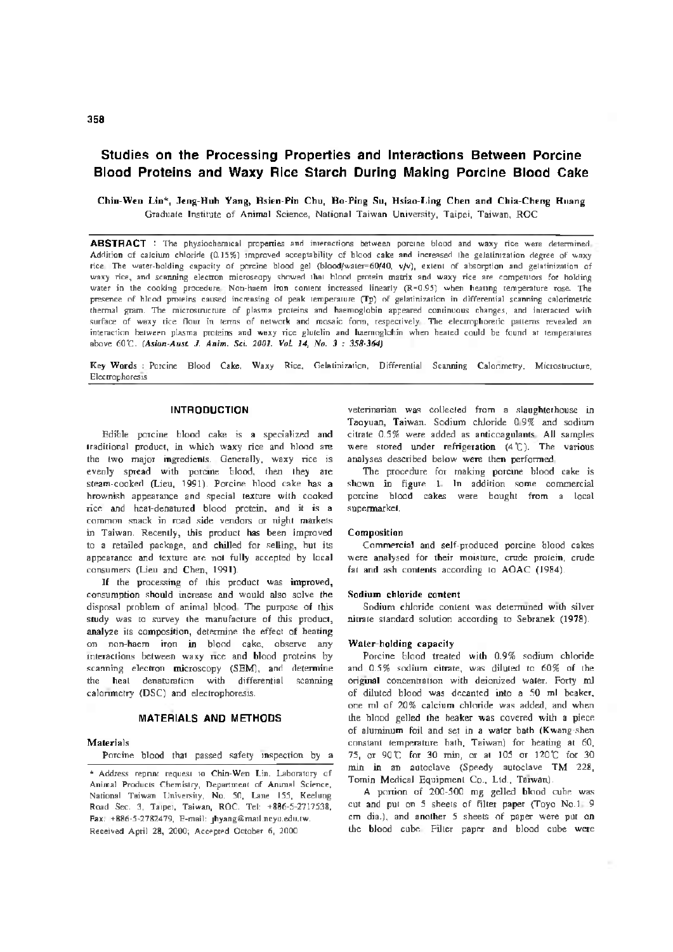# Studies on the Processing Properties and Interactions Between Porcine Blood Proteins and Waxy Rice Starch During Making Porcine Blood Cake

Chin-Wen Li[n](#page-0-0) \*, Jeng-Huh Yang, Hsien-Pin Chu, Ho-Ping Su, Hsiao-Ling Chen and Chia-Cheng Huang Graduate Institute of Animal Science, National Taiwan University, Taipei, Taiwan, ROC

ABSTRACT : The physiochemical properties and interactions between porcine blood and waxy rice were determined. Addition of calcium chloride (0.15%) improved acceptability of blood cake and increased the gelatinization degree of waxy rice. The water-holding capacity of porcine blood gel (blood/waier=60/40, v/v), extent of absorption and gelatinization of waxy rice, and scanning electron microscopy showed that blood protein matrix and waxy rice are competitors for holding water in the cooking procedure. Non-haem iron content increased linearly (R=0.95) when heating temperature rose. The presence of blood proteins caused increasing of peak temperature (Tp) of gelatinization in differential scanning calorimetric thermal gram. The microstructure of plasma proteins and haemoglobin appeared continuous changes, and interacted with surface of waxy rice flour in terms of network and mosaic form, respectively. The electrophoretic patterns revealed an interaction between plasma proteins and waxy rice glutelin and haemoglobin when heated could be found at temperatures above 601. *(Asian-Aust. J. Anim. Sci. 2001. VoL 14, No. 3 : 358-364)*

Key Words : Porcine Blood Cake, Waxy Rice, Gelatinization, Differential Scanning Calorimetry, Microstructure, Electrophoresis

## INTRODUCTION

Edible porcine blood cake is a specialized and traditional product, in which waxy rice and blood are the two major ingredients. Generally, waxy rice is evenly spread with porcine blood, then they are steam-cooked (Lieu, 1991). Porcine blood cake has a brownish appearance and special texture with cooked rice and heat-denatured blood protein, and it is a common snack in road side vendors or night markets in Taiwan. Recently, this product has been improved to a retailed package, and chilled for selling, but its appearance and texture are not fully accepted by local consumers (Lieu and Chen, 1991).

If the processing of this product was improved, consumption should increase and would also solve the disposal problem of animal blood. The purpose of this study was to survey the manufacture of this product, analyze its composition, determine the effect of heating on non-haem iron in blood cake, observe any interactions between waxy rice and blood proteins by scanning electron microscopy (SEM), and determine the heat denaturation with differential scanning calorimetry (DSC) and electrophoresis.

### MATERIALS AND METHODS

#### Materials

Porcine blood that passed safety inspection by a

<span id="page-0-0"></span>\* Address reprint request to Chin-Wen Lin. Laboratory of Animal Products Chemistry, Department of Animal Science, National Taiwan University, No. 50, Lane 155, Keelung Road Sec. 3, Taipei, Taiwan, ROC. Tel: +886-5-2717538, Fax: +886-5-2782479, E-mail: [jhyang@mail.ncyu.edu.tw](mailto:jhyang@mail.ncyu.edu.tw). Received April 28, 2000; Accepted October 6, 2000

veterinarian was collected from a slaughterhouse in Taoyuan, Taiwan. Sodium chloride 0.9% and sodium citrate 0.5% were added as anticoagulants. All samples were stored under refrigeration  $(4^{\circ}C)$ . The various analyses described below were then performed.

The procedure for making porcine blood cake is shown in figure  $1$ . In addition some commercial porcine blood cakes were bought from a local supermarket.

#### Composition

Commercial and self-produced porcine blood cakes were analysed for their moisture, crude protein, crude fat and ash contents according to AOAC (1984).

#### Sodium chloride content

Sodium chloride content was determined with silver nitrate standard solution according to Sebranek (1978).

#### Water-holding capacity

Porcine blood treated with 0.9% sodium chloride and 0.5% sodium citrate, was diluted to 60% of the original concentration with deionized water. Forty ml of diluted blood was decanted into a 50 ml beaker, one ml of 20% calcium chloride was added, and when the blood gelled the beaker was covered with a piece of aluminum foil and set in a water bath (Kwang-shen constant temperature bath, Taiwan) for healing at 60, 75, or 90 C for 30 min, or at 105 or 120°C for 30 min in an autoclave (Speedy autoclave TM 228, Tomin Medical Equipment Co., Ltd., Taiwan).

A portion of 200-500 mg gelled blood cube was cut and put on 5 sheets of filter paper (Toyo No.l. 9 cm dia.), and another 5 sheets of paper were put on the blood cube. Filter paper and blood cube were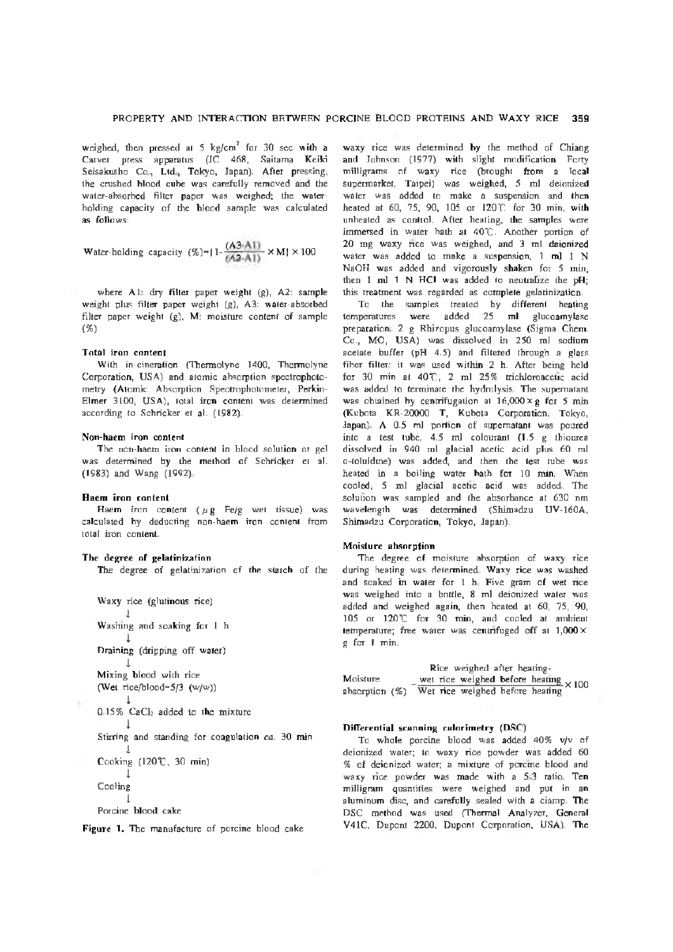weighed, then pressed at  $5 \text{ kg/cm}^2$  for 30 sec with a Carver press apparatus (JC 468, Saitama Keiki Seisakusho Co., Ltd., Tokyo, Japan). After pressing, the crushed blood cube was carefully removed and the water-absorbed filter paper was weighed; the waterholding capacity of the blood sample was calculated as follows:

Water-holding capacity 
$$
(\%)=|1-\frac{(A3-A1)}{(A2-A1)} \times M| \times 100
$$

where Al: dry filter paper weight (g), A2: sample weight plus filter paper weight (g), A3: water-absorbed filter paper weight (g), M: moisture content of sample (%)

### Total iron content

With in-cineration (Thermolyne 1400, Thermolyne Corporation, USA) and atomic absorption spectrophotometry (Atomic Absorption Spectrophotometer, Perkin-Elmer 3100, USA), total iron content was determined according to Schricker et al. (1982).

#### Non-haem iron content

The non-haem iron content in blood solution or gel was determined by the method of Schricker et al. (1983) and Wang (1992).

#### Haem iron content

Haem iron content ( $\mu$ g Fe/g wet tissue) was calculated by deducting non-haem iron content from total iron content.

# The degree of gelatinization

The degree of gelatinization of the starch of the

Waxy rice (glutinous rice)  $\perp$ Washing and soaking for <sup>1</sup> h I Draining (dripping off water) I Mixing blood with rice (Wet rice/blood-5/3 (w/w)) I 0.15% CaCl<sub>2</sub> added to the mixture I Stirring and standing for coagulation *ca.* 30 min I Cooking (120\*C, 30 min) I Cooling I

Porcine blood cake

Figure 1. The manufacture of porcine blood cake

waxy rice was determined by the method of Chiang and Johnson (1977) with slight modification. Forty milligrams of waxy rice (brought from a local supermarket, Taipei) was weighed, 5 ml deionized water was added to make a suspension and then heated at 60, 75, 90, 105 or 120°C for 30 min, with unheated as control. After heating, the samples were immersed in water bath at 40C. Another portion of 20 mg waxy rice was weighed, and 3 ml deionized water was added to make a suspension, 1 ml 1 N NaOH was added and vigorously shaken for 5 min, then 1 ml 1 N HCl was added to neutralize the pH; this treatment was regarded as complete gelatinization.

To the samples treated by different heating temperatures were added 25 ml glucoamylase preparation: 2 g Rhizopus glucoamylase (Sigma Chem. Co., MO, USA) was dissolved in 250 ml sodium acetate buffer (pH 4.5) and filtered through a glass fiber filter: it was used within 2 h. After being held for 30 min at 40C, 2 ml 25% trichloroacetic acid was added to terminate the hydrolysis. The supernatant was obtained by centrifugation at  $16,000 \times g$  for 5 min (Kubota KR-20000 T, Kubota Corporation, Tokyo, Japan). A 0.5 ml portion of supernatant was poured into a test tube, 4.5 ml colourant (1.5 g thiourea dissolved in 940 ml glacial acetic acid plus 60 ml o-toluidine) was added, and then the test tube was heated in a boiling water bath for 10 min. When cooled, 5 ml glacial acetic acid was added. The solution was sampled and the absorbance at 630 nm wavelength was determined (Shimadzu UV-160A, Shimadzu Corporation, Tokyo, Japan).

## Moisture absorption

The degree of moisture absorption of waxy rice during heating was determined. Waxy rice was washed and soaked in water for <sup>1</sup> h. Five gram of wet rice was weighed into a bottle, 8 ml deionized water was added and weighed again, then heated at 60, 75, 90, 105 or 120°C for 30 min, and cooled at ambient temperature; free water was centrifuged off at 1,000 X g for <sup>1</sup> min.

Rice weighed after heating-Moisture \_ wet rice weighed before heating  $\times 100$  $\frac{1}{2}$  wet rice weighed before heating<br>absorption (%) Wet rice weighed before heating

## Differential scanning calorimetry (DSC)

To whole porcine blood was added 40% v/v of deionized water; to waxy rice powder was added 60 % of deionized water; a mixture of porcine blood and waxy rice powder was made with a 5:3 ratio. Ten milligram quantities were weighed and put in an aluminum disc, and carefully sealed with a cianip. The DSC method was used (Thermal Analyzer, General V41C, Dupont 2200, Dupont Corporation, USA). The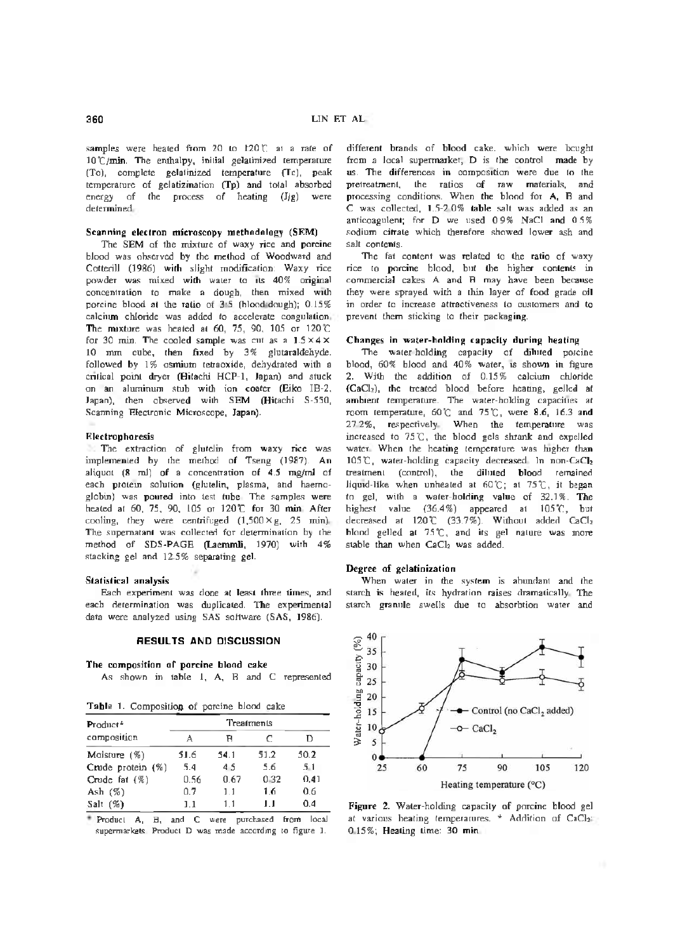samples were heated from 20 to 120 C at a rate of 10°C/min. The enthalpy, initial gelatinized temperature (To), complete gelatinized temperature (Tc), peak temperature of gelatizination (Tp) and total absorbed energy of the process of heating (J/g) were determined.

# Scanning electron microscopy methodology (SEM)

The SEM of the mixture of waxy rice and porcine blood was observed by the method of Woodward and Cotterill (1986) with slight modification: Waxy rice powder was mixed with water to its 40% original concentration to make a dough, then mixed with porcine blood at the ratio of 3:5 (blood:dough); 0.15% calcium chloride was added to accelerate coagulation. The mixture was heated at 60, 75, 90, 105 or 120 $°C$ for 30 min. The cooled sample was cut as a  $1.5 \times 4 \times$ 10 mm cube, then fixed by 3% glutaraldehyde. followed by 1% osmium tetraoxide, dehydrated with a critical point dryer (Hitachi HCP-1, Japan) and stuck on an aluminum stub with ion coater (Eiko IB-2, Japan), then observed with SEM (Hitachi S-550, Scanning Electronic Microscope, Japan).

# Electrophoresis

The extraction of glutelin from waxy rice was implemented by the method of Tseng (1987). An aliquot (8 ml) of a concentration of 4.5 mg/ml of each protein solution (glutelin, plasma, and haemoglobin) was poured into test tube. The samples were heated at 60, 75, 90, 105 or 120°C for 30 min. After cooling, they were centrifuged  $(1,500 \times g, 25 \text{ min})$ . The supernatant was collected for determination by the method of SDS-PAGE (Laemmli, 1970) with 4% stacking gel and 12.5% separating gel.

#### Statistical analysis

Each experiment was done at least three times, and each determination was duplicated. The experimental data were analyzed using SAS software (SAS, 1986).

### RESULTS AND DISCUSSION

### The composition of porcine blood cake

As shown in table 1, A, B and C represented

Table 1. Composition of porcine blood cake

| Product*             | Treatments |      |      |      |  |
|----------------------|------------|------|------|------|--|
| composition          | A          | в    | С    | D    |  |
| Moisture $(\%)$      | 51.6       | 54.1 | 51.2 | 50.2 |  |
| Crude protein $(\%)$ | 5.4        | 45   | 5.6  | 5.1  |  |
| Crude fat $(\%)$     | 0.56       | 0.67 | 0.32 | 0.41 |  |
| Ash $(\%)$           | 0.7        | 1.1  | 1.6  | 0.6  |  |
| Salt $(\%)$          | 11         | 1.1  | ш    | 0.4  |  |
|                      |            |      |      |      |  |

Product A, B, and C were purchased from local supermarkets. Product D was made according to figure 1.

different brands of blood cake, which were bought from a local supermarket; D is the control made by us. The differences in composition were due to the pretreatment, the ratios of raw materials, and processing conditions. When the blood for A, B and C was collected, 1.5-2.0% table salt was added as an anticoagulent; for D we used 0.9% NaCl and 0.5% sodium citrate which therefore showed lower ash and salt contents.

The fat content was related to the ratio of waxy rice to porcine blood, but the higher contents in commercial cakes A and B may have been because they were sprayed with a thin layer of food grade oil in order to increase attractiveness to customers and to prevent them sticking to their packaging.

# Changes in water-holding capacity during heating

The water-holding capacity of diluted porcine blood, 60% blood and 40% water, is shown in figure 2. With the addition of 0.15% calcium chloride (CaCh), the treated blood before heating, gelled at ambient temperature. The water-holding capacities at room temperature,  $60^\circ$  and  $75^\circ$ C, were 8.6, 16.3 and 27.2%, respectively. When the temperature was increased to 75°C, the blood gels shrank and expelled water. When the heating temperature was higher than 105  $\mathbb{C}$ , water-holding capacity decreased. In non-CaCl<sub>2</sub> treatment (control), the diluted blood remained liquid-like when unheated at  $60\degree$ C; at  $75\degree$ C, it began to gel, with a water-holding value of 32.1%. The highest value (36.4%) appeared at 105°C, but decreased at 120°C (33.7%). Without added CaCl<sup>2</sup> blood gelled at  $75^{\circ}$ C, and its gel nature was more stable than when CaCl<sub>2</sub> was added.

#### Degree of gelatinization

When water in the system is abundant and the starch is heated, its hydration raises dramatically. The starch granule swells due to absorbtion water and



Figure 2. Water-holding capacity of porcine blood gel at various heating temperatures.  $*$  Addition of CaCl<sub>2</sub> 0.15%; Heating time: 30 min.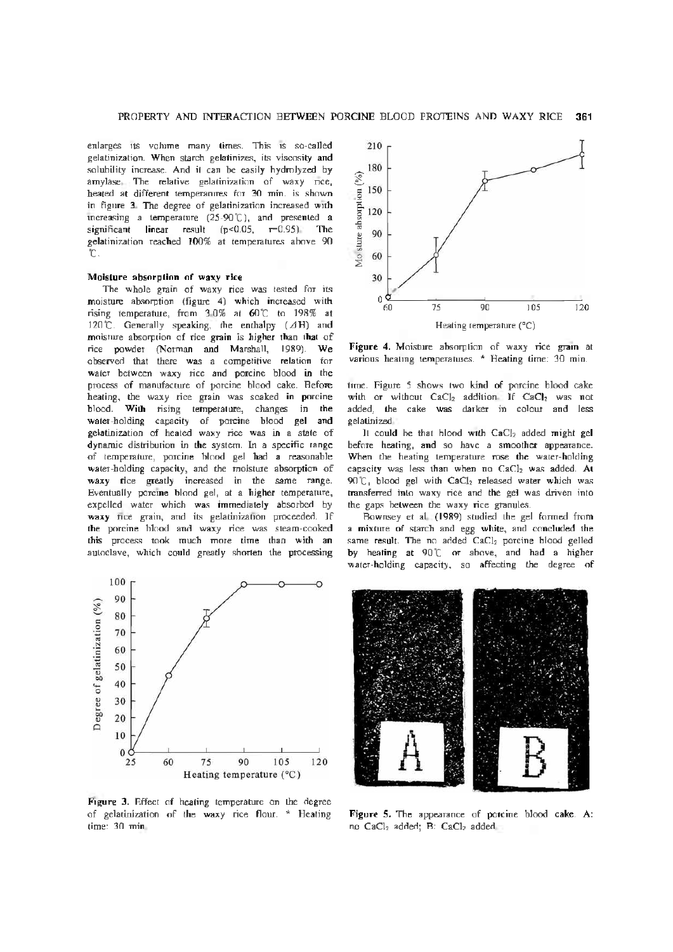enlarges its volume many times. This is so-called gelatinization. When starch gelatinizes, its viscosity and solubility increase. And it can be easily hydrolyzed by amylase. The relative gelatinization of waxy rice, heated at different temperatures for 30 min. is shown in figure 3. The degree of gelatinization increased with increasing a temperature (25-90C), and presented a significant linear result  $(p<0.05, r=0.95)$ . The gelatinization reached 100% at temperatures above 90  $^{\circ}$ .

# Moisture absorption of waxy rice

The whole grain of waxy rice was tested for its moisture absorption (figure 4) which increased with rising temperature, from 3.0% at 60°C to 198% at 120 $^{\circ}$ C. Generally speaking, the enthalpy ( $\triangle$ H) and moisture absorption of rice grain is higher than that of rice powder (Norman and Marshall, 1989). We observed that there was a competitive relation for water between waxy rice and porcine blood in the process of manufacture of porcine blood cake. Before heating, the waxy rice grain was soaked in porcine blood. With rising temperature, changes in the water-holding capacity of porcine blood gel and gelatinization of heated waxy rice was in a state of dynamic distribution in the system. In a specific range of temperature, porcine blood gel had a reasonable water-holding capacity, and the moisture absorption of waxy rice greatly increased in the same range. Eventually porcine blood gel, at a higher temperature, expelled water which was immediately absorbed by waxy rice grain, and its gelatinization proceeded. If the porcine blood and waxy rice was steam-cooked this process took much more time than with an autoclave, which could greatly shorten the processing



Figure 3. Effect of heating temperature on the degree of gelatinization of the waxy rice flour. \* Heating time: 30 min.



Figure 4. Moisture absorption of waxy rice grain at various heating temperatures. \* Heating time: 30 min.

time. Figure 5 shows two kind of porcine blood cake with or without  $CaCl<sub>2</sub>$  addition. If  $CaCl<sub>2</sub>$  was not added, the cake was darker in colour and less gelatinized.

It could be that blood with  $CaCl<sub>2</sub>$  added might gel before heating, and so have a smoother appearance. When the heating temperature rose the water-holding capacity was less than when no  $CaCl<sub>2</sub>$  was added. At  $90\degree$ C, blood gel with CaCl<sub>2</sub> released water which was transferred into waxy rice and the gel was driven into the gaps between the waxy rice granules.

Bownsey et al. (1989) studied the gel formed from a mixture of starch and egg white, and concluded the same result. The no added CaCl2 porcine blood gelled by heating at 90°C or above, and had a higher water-holding capacity, so affecting the degree of



Figure 5. The appearance of porcine blood cake. A: no CaCl<sub>2</sub> added; B: CaCl<sub>2</sub> added.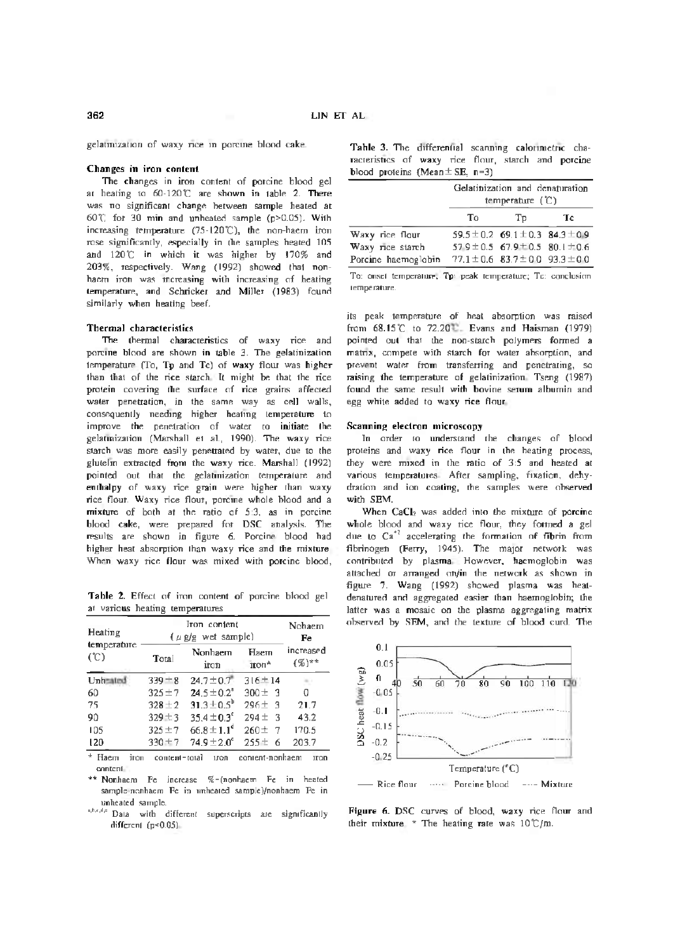gelatinization of waxy nee m porcine blood cake.

# Changes in iron content

The changes in iron content of porcine blood gel at heating to  $60-120$ °C are shown in table 2. There was no significant change between sample heated at 60C for 30 min and unheated sample (p>0.05). With increasing temperature  $(75-120^{\circ}\text{C})$  $(75-120^{\circ}\text{C})$  $(75-120^{\circ}\text{C})$ , the non-haem iron rose significantly, especially in the samples heated 105 and 120°C in which it was higher by 170% and 203%, respectively. Wang (1992) showed that nonhaem iron was increasing with increasing of heating temperature, and Schricker and Miller (1983) found similarly when heating beef.

# Thermal characteristics

The thermal characteristics of waxy rice and porcine blood are shown in table 3. The gelatinization temperature (To, Tp and Tc) of waxy flour was higher than that of the rice starch. It might be that the rice protein covering the surface of rice grains affected water penetration, in the same way as cell walls, consequently needing higher heating temperature to improve the penetration of water to initiate the gelatinization (Marshall et al., 1990). The waxy rice starch was more easily penetrated by water, due to the glutelin extracted from the waxy rice. Marshall (1992) pointed out that the gelatinization temperature and enthalpy of waxy rice grain were higher than waxy rice flour. Waxy rice flour, porcine whole blood and a mixture of both at the ratio of 5:3, as in porcine blood cake, were prepared for DSC analysis. The results are shown in figure 6. Porcine blood had higher heat absorption than waxy rice and the mixture. When waxy rice flour was mixed with porcine blood,

Table 2. Effect of iron content of porcine blood gel at various heating temperatures

| Heating            | $(\mu$ g/g wet sample) | Nohaem<br>Fe           |                          |                                     |  |
|--------------------|------------------------|------------------------|--------------------------|-------------------------------------|--|
| temperature<br>(C) | Total                  | Nonhaem<br>iron        | Haem<br>iron*            | increased<br>$({\mathcal{K}})^{**}$ |  |
| Unhea              | $339 + 8$              | $24.7 \pm 0.7$         | $316 \pm 14$             |                                     |  |
| 60                 | $325 \pm 7$            | $24.5 \pm 0.2$         | $300 \pm 3$              | Ω                                   |  |
| 75                 | $328 \pm 2$            | $31.3 \pm 0.5^{\circ}$ | $296 \pm 3$              | 21.7                                |  |
| 90                 | $329 \pm 3$            | $35.4 \pm 0.3^{\circ}$ | $294 \pm 3$              | 43.2                                |  |
| 105                | $325 \pm 7$            | $66.8 \pm 1.1^d$       | $260 +$<br>$\mathcal{I}$ | 170.5                               |  |
| 120                | 330±7                  | $74.9 \pm 2.0^{\circ}$ | $255 \pm$<br>6           | 203.7                               |  |

<span id="page-4-0"></span>\* Haem iron content=total iron content-nonhaem iron content.

<span id="page-4-1"></span>\*\* Nonhaem Fe increase %=(nonhaem Fe in heated sample-nonhaem Fe in unheated sample)/nonhaem Fe in unheated sample.

<sup>a,b,c,d,e</sup> Data with different superscripts are significantly different (p<0.05).

Table 3. The differential scanning calonmetnc characteristics of waxy rice flour, starch and porcine blood proteins (Mean $\pm$  SE, n=3)

|                     | Gelatinization and denaturation<br>temperature $(°C)$ |                                              |    |  |
|---------------------|-------------------------------------------------------|----------------------------------------------|----|--|
|                     | Tο                                                    | Tp.                                          | Тc |  |
| Waxy rice flour     |                                                       | $59.5 \pm 0.2$ 69.1 $\pm$ 0.3 84.3 $\pm$ 0.9 |    |  |
| Waxy rice starch    |                                                       | $579 \pm 0.5$ 67.9 + 0.5 80.1 $\pm$ 0.6      |    |  |
| Porcine haemoglobin |                                                       | $77.1 \pm 0.6$ 83.7 $\pm$ 00 93.3 $\pm$ 00   |    |  |

To: onset temperature; Tp: peak temperature; Tc: conclusion temperature.

its peak temperature of heat absorption was raised from 68.15°C to 72.2012. Evans and Haisman (1979) pointed out that the non-starch polymers formed a matrix, compete with starch for water absorption, and prevent water from transferring and penetrating, so raising the temperature of gelatinization. Tseng (1987) found the same result with bovine serum albumin and egg white added to waxy rice flour.

# Scanning electron microscopy

In order to understand the changes of blood proteins and waxy rice flour in the heating process, they were mixed in the ratio of 3:5 and heated at various temperatures. After sampling, fixation, dehydration and ion coating, the samples were observed with SEM.

When CaCl<sub>2</sub> was added into the mixture of porcine whole blood and waxy rice flour, they formed a gel due to  $Ca^{22}$  $Ca^{22}$  $Ca^{22}$  accelerating the formation of fibrin from fibrinogen (Ferry, 1945). The major network was contributed by plasma. However, haemoglobin was attached or arranged on/in the network as shown in figure 7. Wang (1992) showed plasma was heatdenatured and aggregated easier than haemoglobin; the latter was a mosaic on the plasma aggregating matrix observed by SEM, and the texture of blood curd. The



Figure 6. DSC curves of blood, waxy rice flour and their mixture. [\\*](#page-4-0) The heating rate was  $10^{\circ}$ C/m.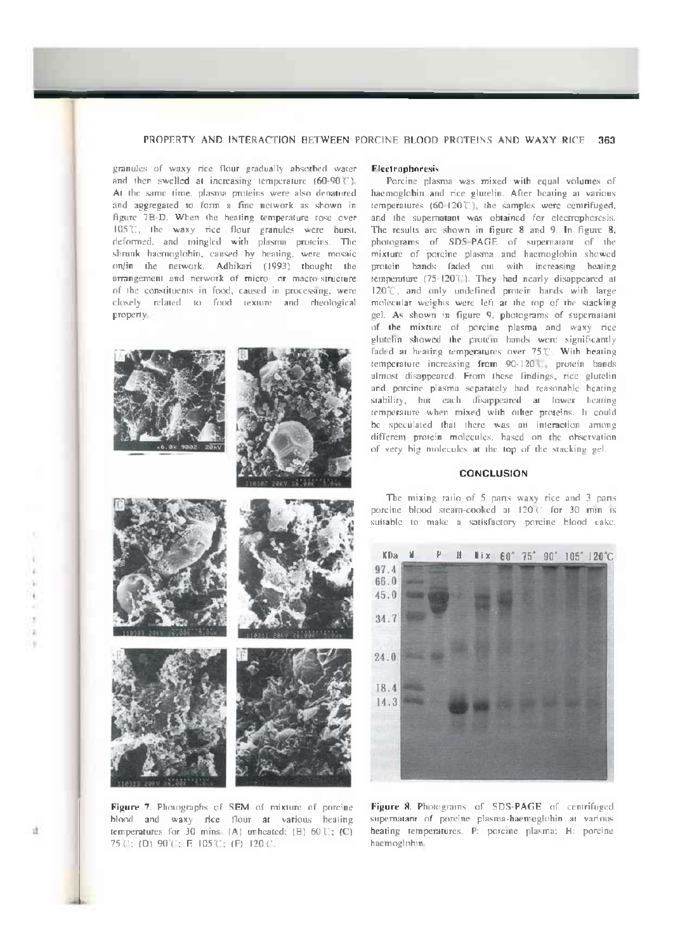# PROPERTY AND INTERACTION BETWEEN PORCINE BLOOD PROTEINS AND WAXY RICE 363

granules of waxy rice flour gradually absorbed water and then swelled at increasing temperature  $(60.90\%)$ . At the same time, plasma proteins were also denatured and aggregated to form a fine network as shown in figure 7B-D. When the heating temperature rose over 105°C, the waxy rice flour granules were burst, deformed, and mingled with plasma proteins. The shrunk haemoglobin, caused by heating, were mosaic on/in the network, Adhikari (1993) thought the arrangement and network of micro- or macro-structure of the constituents in food, caused in processing, were closely related to food texture and rheological property.







Figure 7. Photographs of SEM of mixture of porcine blood and waxy rice flour at various heating temperatures for 30 mins. (A) unheated; (B) 60  $C$ ; (C) 75 ( $:$  (D) 90 ( $:$  E 105 ( $:$  (F) 120 ( $:$ 

#### **Electrophoresis**

Porcine plasma was mixed with equal volumes of haemoglobin and rice glutelin. After heating at various temperatures  $(60-120\%)$ , the samples were centrifuged, and the supernatant was obtained for electrophoresis. The results are shown in figure 8 and 9. In figure 8, photograms of SDS-PAGE of supernatant of the mixture of porcine plasma and haemoglobin showed protein bands faded out with increasing heating temperature (75-120<sup>T</sup>). They had nearly disappeared at I2O°C, and only undefined protein bands with large molecular weights were left ai the top of the stacking gel. As shown in figure 9, photograms of supernatant of the mixture of porcine plasma and waxy rice glutelin showed the protein bands were significantly faded at heating temperatures over 75°C. With heating temperature increasing from 90-120 protein bands almost disappeared. From these findings, rice glutelin and porcine plasma separately had reasonable heating stability, but each disappeared at lower heating temperature when mixed with other proteins. It could be speculated that there was an interaction among differem protein molecules, based on the observation of very big molecules at the top of the stacking gel.

# **CONCLUSION**

The mixing ratio of 5 pans waxy rice and 3 pans porcine blood steam-cooked at 120 (1 for 30 min is suitable to make a satisfactory porcine blood cake.



Figure 8. Photograms of SDS-PAGE of centrifuged supernatant of porcine piasma-haemoglobin at various heating temperatures. P: porcine plasma; H: porcine haemoglobin.

 $\mathbf{d}$ 

and indicate and